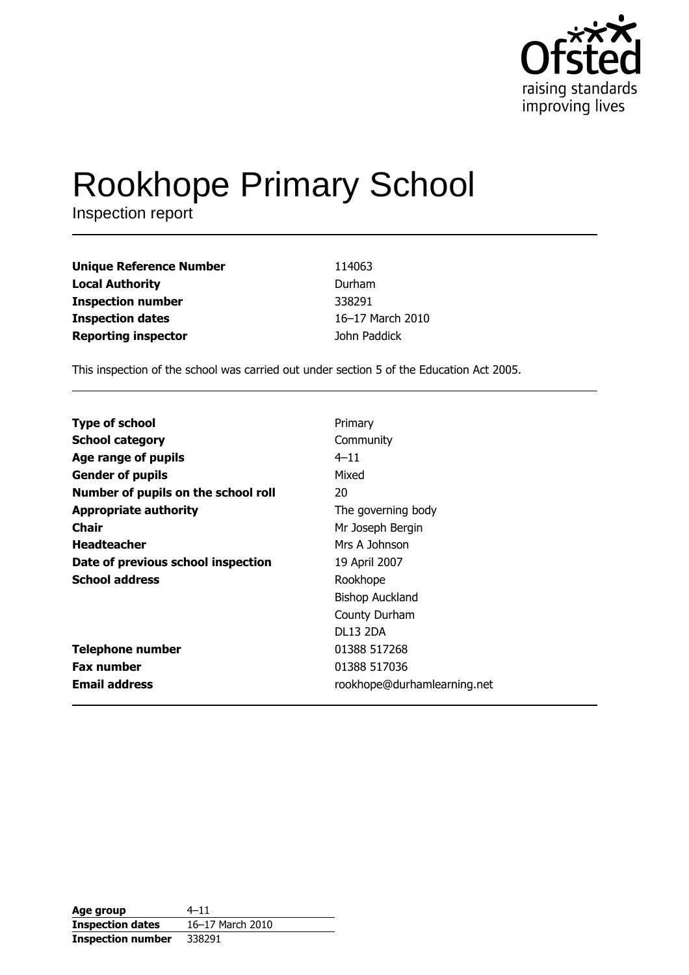

# **Rookhope Primary School**

Inspection report

| <b>Unique Reference Number</b> | 114063           |
|--------------------------------|------------------|
| <b>Local Authority</b>         | Durham           |
| <b>Inspection number</b>       | 338291           |
| <b>Inspection dates</b>        | 16-17 March 2010 |
| <b>Reporting inspector</b>     | John Paddick     |

This inspection of the school was carried out under section 5 of the Education Act 2005.

| <b>Type of school</b>               | Primary                     |
|-------------------------------------|-----------------------------|
| <b>School category</b>              | Community                   |
| Age range of pupils                 | $4 - 11$                    |
| <b>Gender of pupils</b>             | Mixed                       |
| Number of pupils on the school roll | 20                          |
| <b>Appropriate authority</b>        | The governing body          |
| Chair                               | Mr Joseph Bergin            |
| <b>Headteacher</b>                  | Mrs A Johnson               |
| Date of previous school inspection  | 19 April 2007               |
| <b>School address</b>               | Rookhope                    |
|                                     | <b>Bishop Auckland</b>      |
|                                     | County Durham               |
|                                     | <b>DL13 2DA</b>             |
| <b>Telephone number</b>             | 01388 517268                |
| <b>Fax number</b>                   | 01388 517036                |
| <b>Email address</b>                | rookhope@durhamlearning.net |

| Age group                | $4 - 11$         |
|--------------------------|------------------|
| <b>Inspection dates</b>  | 16-17 March 2010 |
| <b>Inspection number</b> | 338291           |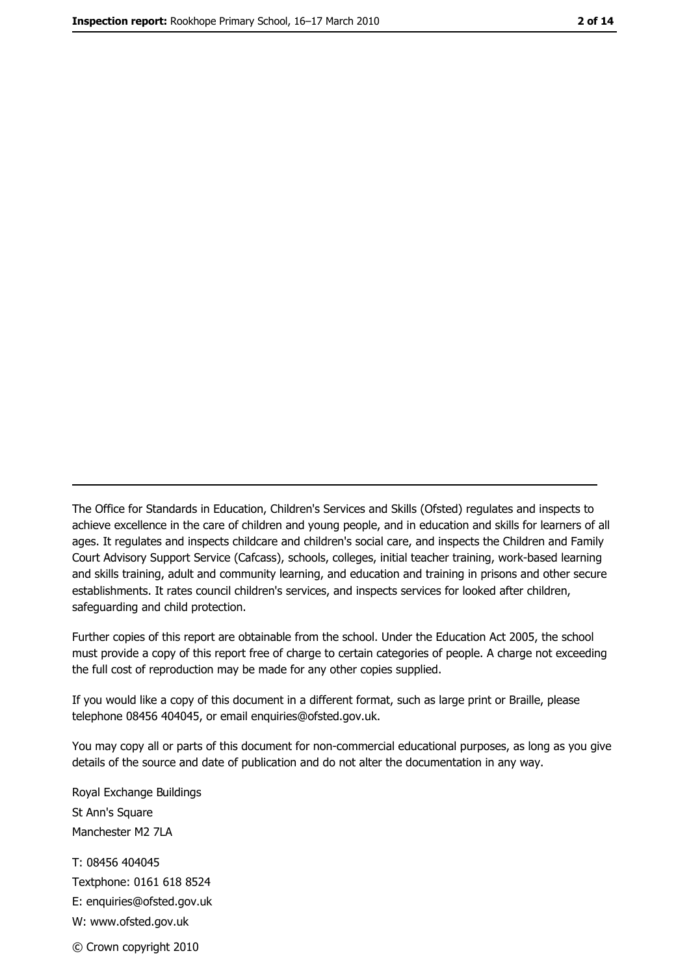The Office for Standards in Education, Children's Services and Skills (Ofsted) regulates and inspects to achieve excellence in the care of children and young people, and in education and skills for learners of all ages. It regulates and inspects childcare and children's social care, and inspects the Children and Family Court Advisory Support Service (Cafcass), schools, colleges, initial teacher training, work-based learning and skills training, adult and community learning, and education and training in prisons and other secure establishments. It rates council children's services, and inspects services for looked after children, safequarding and child protection.

Further copies of this report are obtainable from the school. Under the Education Act 2005, the school must provide a copy of this report free of charge to certain categories of people. A charge not exceeding the full cost of reproduction may be made for any other copies supplied.

If you would like a copy of this document in a different format, such as large print or Braille, please telephone 08456 404045, or email enquiries@ofsted.gov.uk.

You may copy all or parts of this document for non-commercial educational purposes, as long as you give details of the source and date of publication and do not alter the documentation in any way.

Royal Exchange Buildings St Ann's Square Manchester M2 7LA T: 08456 404045 Textphone: 0161 618 8524 E: enquiries@ofsted.gov.uk W: www.ofsted.gov.uk © Crown copyright 2010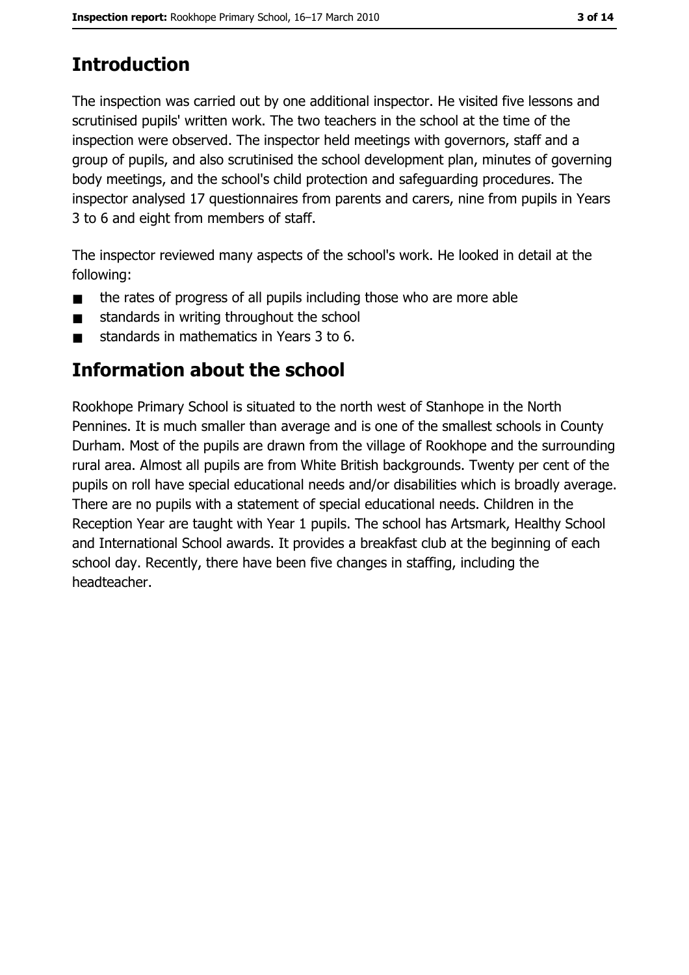# **Introduction**

The inspection was carried out by one additional inspector. He visited five lessons and scrutinised pupils' written work. The two teachers in the school at the time of the inspection were observed. The inspector held meetings with governors, staff and a group of pupils, and also scrutinised the school development plan, minutes of governing body meetings, and the school's child protection and safeguarding procedures. The inspector analysed 17 questionnaires from parents and carers, nine from pupils in Years 3 to 6 and eight from members of staff.

The inspector reviewed many aspects of the school's work. He looked in detail at the following:

- the rates of progress of all pupils including those who are more able  $\blacksquare$
- standards in writing throughout the school  $\blacksquare$
- standards in mathematics in Years 3 to 6.

## Information about the school

Rookhope Primary School is situated to the north west of Stanhope in the North Pennines. It is much smaller than average and is one of the smallest schools in County Durham. Most of the pupils are drawn from the village of Rookhope and the surrounding rural area. Almost all pupils are from White British backgrounds. Twenty per cent of the pupils on roll have special educational needs and/or disabilities which is broadly average. There are no pupils with a statement of special educational needs. Children in the Reception Year are taught with Year 1 pupils. The school has Artsmark, Healthy School and International School awards. It provides a breakfast club at the beginning of each school day. Recently, there have been five changes in staffing, including the headteacher.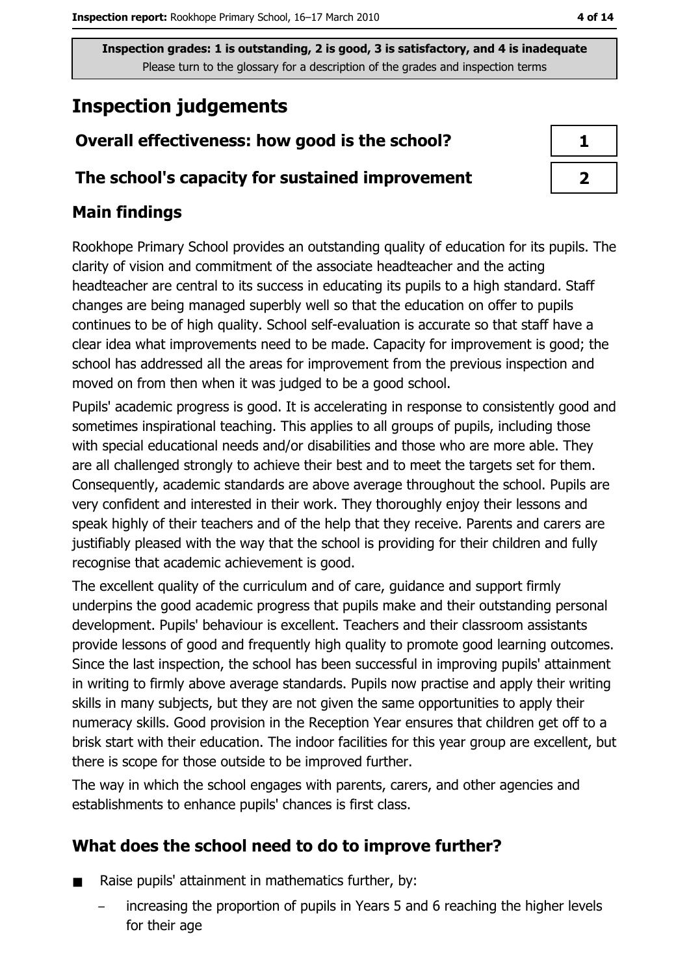Inspection grades: 1 is outstanding, 2 is good, 3 is satisfactory, and 4 is inadequate Please turn to the glossary for a description of the grades and inspection terms

# **Inspection judgements**

## Overall effectiveness: how good is the school?

#### The school's capacity for sustained improvement

#### **Main findings**

Rookhope Primary School provides an outstanding quality of education for its pupils. The clarity of vision and commitment of the associate headteacher and the acting headteacher are central to its success in educating its pupils to a high standard. Staff changes are being managed superbly well so that the education on offer to pupils continues to be of high quality. School self-evaluation is accurate so that staff have a clear idea what improvements need to be made. Capacity for improvement is good; the school has addressed all the areas for improvement from the previous inspection and moved on from then when it was judged to be a good school.

Pupils' academic progress is good. It is accelerating in response to consistently good and sometimes inspirational teaching. This applies to all groups of pupils, including those with special educational needs and/or disabilities and those who are more able. They are all challenged strongly to achieve their best and to meet the targets set for them. Consequently, academic standards are above average throughout the school. Pupils are very confident and interested in their work. They thoroughly enjoy their lessons and speak highly of their teachers and of the help that they receive. Parents and carers are justifiably pleased with the way that the school is providing for their children and fully recognise that academic achievement is good.

The excellent quality of the curriculum and of care, guidance and support firmly underpins the good academic progress that pupils make and their outstanding personal development. Pupils' behaviour is excellent. Teachers and their classroom assistants provide lessons of good and frequently high quality to promote good learning outcomes. Since the last inspection, the school has been successful in improving pupils' attainment in writing to firmly above average standards. Pupils now practise and apply their writing skills in many subjects, but they are not given the same opportunities to apply their numeracy skills. Good provision in the Reception Year ensures that children get off to a brisk start with their education. The indoor facilities for this year group are excellent, but there is scope for those outside to be improved further.

The way in which the school engages with parents, carers, and other agencies and establishments to enhance pupils' chances is first class.

### What does the school need to do to improve further?

- Raise pupils' attainment in mathematics further, by:  $\blacksquare$ 
	- increasing the proportion of pupils in Years 5 and 6 reaching the higher levels for their age

| ↗ |  |
|---|--|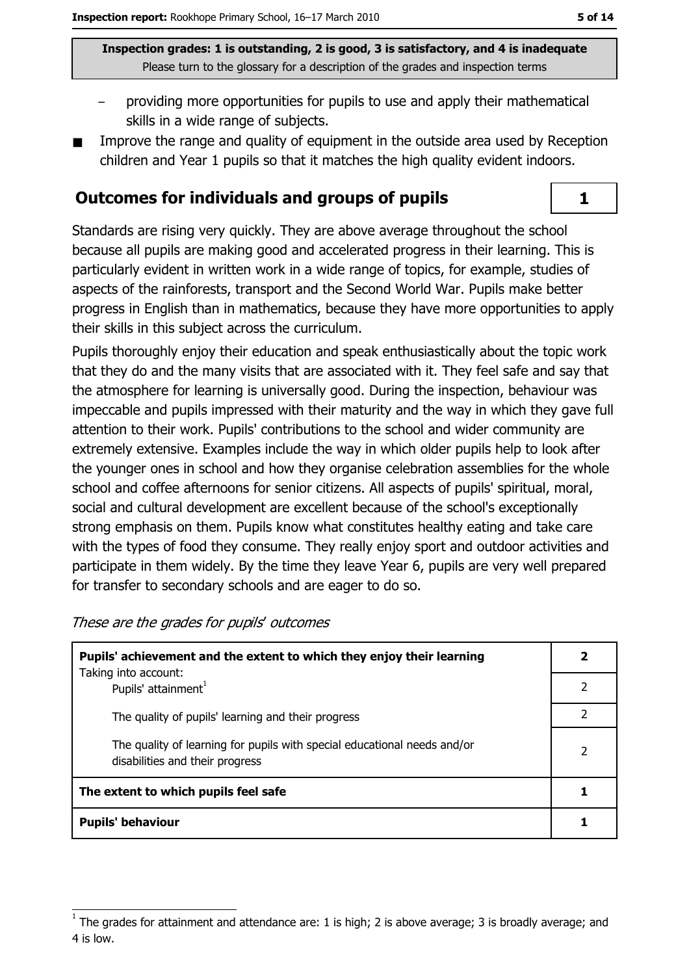Inspection grades: 1 is outstanding, 2 is good, 3 is satisfactory, and 4 is inadequate Please turn to the glossary for a description of the grades and inspection terms

- providing more opportunities for pupils to use and apply their mathematical skills in a wide range of subjects.
- Improve the range and quality of equipment in the outside area used by Reception children and Year 1 pupils so that it matches the high quality evident indoors.

#### **Outcomes for individuals and groups of pupils**

Standards are rising very quickly. They are above average throughout the school because all pupils are making good and accelerated progress in their learning. This is particularly evident in written work in a wide range of topics, for example, studies of aspects of the rainforests, transport and the Second World War. Pupils make better progress in English than in mathematics, because they have more opportunities to apply their skills in this subject across the curriculum.

Pupils thoroughly enjoy their education and speak enthusiastically about the topic work that they do and the many visits that are associated with it. They feel safe and say that the atmosphere for learning is universally good. During the inspection, behaviour was impeccable and pupils impressed with their maturity and the way in which they gave full attention to their work. Pupils' contributions to the school and wider community are extremely extensive. Examples include the way in which older pupils help to look after the younger ones in school and how they organise celebration assemblies for the whole school and coffee afternoons for senior citizens. All aspects of pupils' spiritual, moral, social and cultural development are excellent because of the school's exceptionally strong emphasis on them. Pupils know what constitutes healthy eating and take care with the types of food they consume. They really enjoy sport and outdoor activities and participate in them widely. By the time they leave Year 6, pupils are very well prepared for transfer to secondary schools and are eager to do so.

These are the grades for pupils' outcomes

| Pupils' achievement and the extent to which they enjoy their learning                                       |   |
|-------------------------------------------------------------------------------------------------------------|---|
| Taking into account:<br>Pupils' attainment <sup>1</sup>                                                     |   |
| The quality of pupils' learning and their progress                                                          |   |
| The quality of learning for pupils with special educational needs and/or<br>disabilities and their progress | 2 |
| The extent to which pupils feel safe                                                                        |   |
| <b>Pupils' behaviour</b>                                                                                    |   |

 $\mathbf{1}$ 

The grades for attainment and attendance are: 1 is high; 2 is above average; 3 is broadly average; and 4 is low.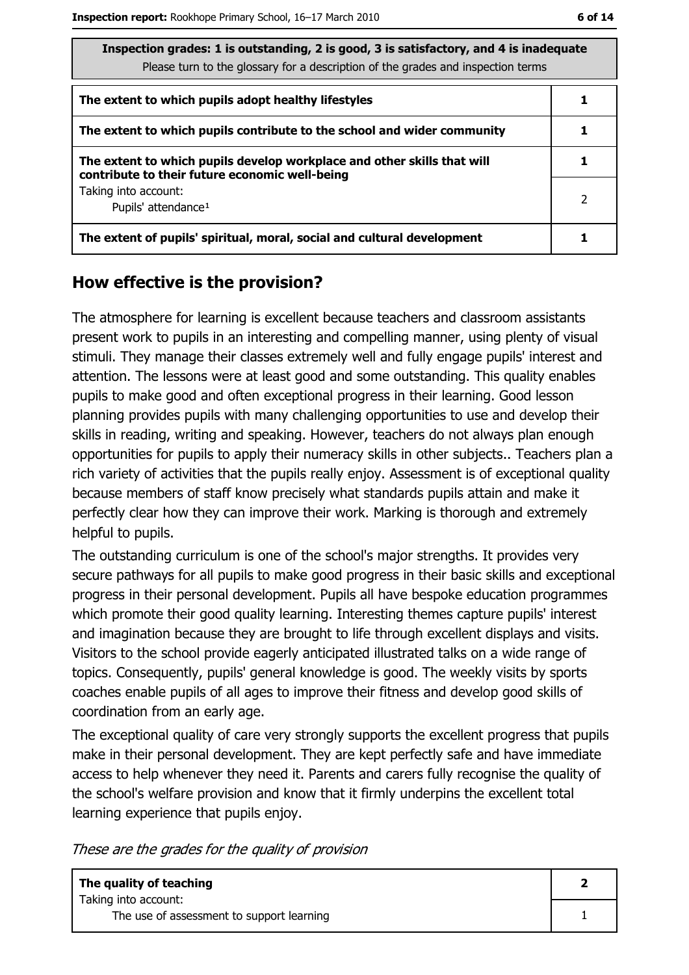| Inspection grades: 1 is outstanding, 2 is good, 3 is satisfactory, and 4 is inadequate |  |  |
|----------------------------------------------------------------------------------------|--|--|
| Please turn to the glossary for a description of the grades and inspection terms       |  |  |
|                                                                                        |  |  |
| The extent to which pupils adopt healthy lifestyles                                    |  |  |
|                                                                                        |  |  |
| The extent to which pupils contribute to the school and wider community                |  |  |
| The extent to which pupils develop workplace and other skills that will                |  |  |
|                                                                                        |  |  |

The exter contribute to their future economic well-being Taking into account: Pupils' attendance<sup>1</sup>

| The extent of pupils' spiritual, moral, social and cultural development |  |
|-------------------------------------------------------------------------|--|
|                                                                         |  |

#### How effective is the provision?

The atmosphere for learning is excellent because teachers and classroom assistants present work to pupils in an interesting and compelling manner, using plenty of visual stimuli. They manage their classes extremely well and fully engage pupils' interest and attention. The lessons were at least good and some outstanding. This quality enables pupils to make good and often exceptional progress in their learning. Good lesson planning provides pupils with many challenging opportunities to use and develop their skills in reading, writing and speaking. However, teachers do not always plan enough opportunities for pupils to apply their numeracy skills in other subjects.. Teachers plan a rich variety of activities that the pupils really enjoy. Assessment is of exceptional quality because members of staff know precisely what standards pupils attain and make it perfectly clear how they can improve their work. Marking is thorough and extremely helpful to pupils.

The outstanding curriculum is one of the school's major strengths. It provides very secure pathways for all pupils to make good progress in their basic skills and exceptional progress in their personal development. Pupils all have bespoke education programmes which promote their good quality learning. Interesting themes capture pupils' interest and imagination because they are brought to life through excellent displays and visits. Visitors to the school provide eagerly anticipated illustrated talks on a wide range of topics. Consequently, pupils' general knowledge is good. The weekly visits by sports coaches enable pupils of all ages to improve their fitness and develop good skills of coordination from an early age.

The exceptional quality of care very strongly supports the excellent progress that pupils make in their personal development. They are kept perfectly safe and have immediate access to help whenever they need it. Parents and carers fully recognise the quality of the school's welfare provision and know that it firmly underpins the excellent total learning experience that pupils enjoy.

These are the grades for the quality of provision

| The quality of teaching                                           |  |
|-------------------------------------------------------------------|--|
| Taking into account:<br>The use of assessment to support learning |  |

 $\overline{2}$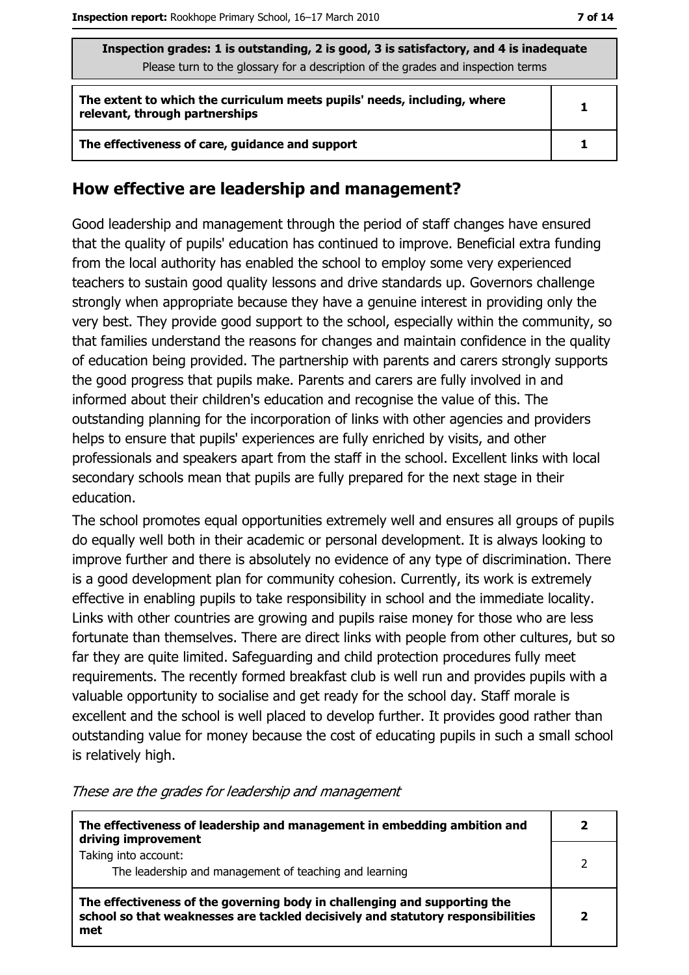| Inspection grades: 1 is outstanding, 2 is good, 3 is satisfactory, and 4 is inadequate<br>Please turn to the glossary for a description of the grades and inspection terms |   |  |
|----------------------------------------------------------------------------------------------------------------------------------------------------------------------------|---|--|
| The extent to which the curriculum meets pupils' needs, including, where<br>relevant, through partnerships                                                                 | 1 |  |
| The effectiveness of care, guidance and support                                                                                                                            |   |  |

#### How effective are leadership and management?

Good leadership and management through the period of staff changes have ensured that the quality of pupils' education has continued to improve. Beneficial extra funding from the local authority has enabled the school to employ some very experienced teachers to sustain good quality lessons and drive standards up. Governors challenge strongly when appropriate because they have a genuine interest in providing only the very best. They provide good support to the school, especially within the community, so that families understand the reasons for changes and maintain confidence in the quality of education being provided. The partnership with parents and carers strongly supports the good progress that pupils make. Parents and carers are fully involved in and informed about their children's education and recognise the value of this. The outstanding planning for the incorporation of links with other agencies and providers helps to ensure that pupils' experiences are fully enriched by visits, and other professionals and speakers apart from the staff in the school. Excellent links with local secondary schools mean that pupils are fully prepared for the next stage in their education.

The school promotes equal opportunities extremely well and ensures all groups of pupils do equally well both in their academic or personal development. It is always looking to improve further and there is absolutely no evidence of any type of discrimination. There is a good development plan for community cohesion. Currently, its work is extremely effective in enabling pupils to take responsibility in school and the immediate locality. Links with other countries are growing and pupils raise money for those who are less fortunate than themselves. There are direct links with people from other cultures, but so far they are quite limited. Safeguarding and child protection procedures fully meet requirements. The recently formed breakfast club is well run and provides pupils with a valuable opportunity to socialise and get ready for the school day. Staff morale is excellent and the school is well placed to develop further. It provides good rather than outstanding value for money because the cost of educating pupils in such a small school is relatively high.

| The effectiveness of leadership and management in embedding ambition and<br>driving improvement                                                                     |  |
|---------------------------------------------------------------------------------------------------------------------------------------------------------------------|--|
| Taking into account:<br>The leadership and management of teaching and learning                                                                                      |  |
| The effectiveness of the governing body in challenging and supporting the<br>school so that weaknesses are tackled decisively and statutory responsibilities<br>met |  |

These are the grades for leadership and management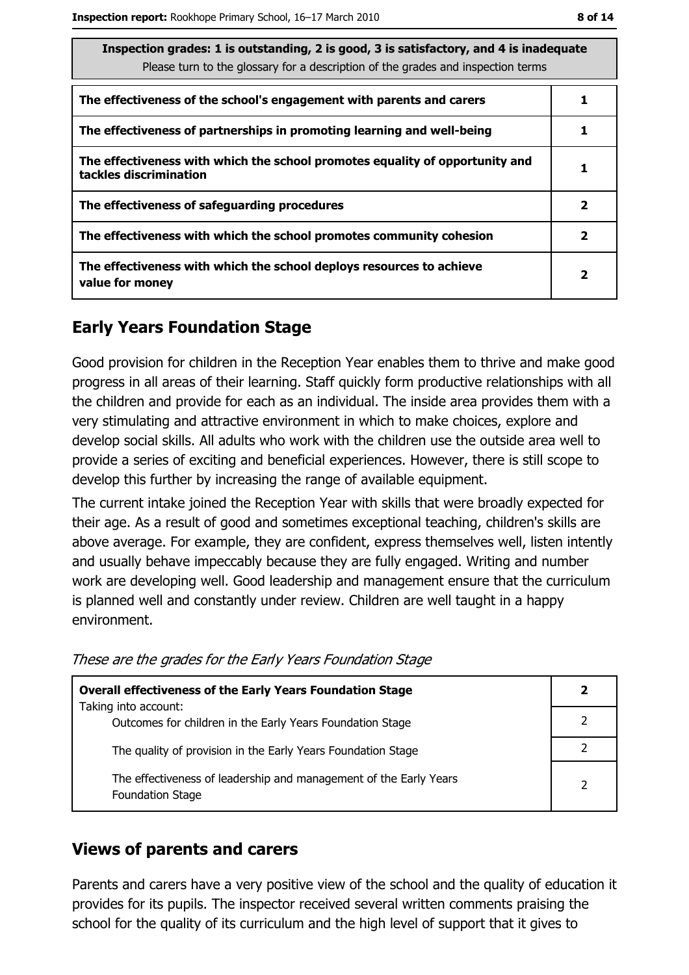| Inspection grades: 1 is outstanding, 2 is good, 3 is satisfactory, and 4 is inadequate<br>Please turn to the glossary for a description of the grades and inspection terms |   |  |
|----------------------------------------------------------------------------------------------------------------------------------------------------------------------------|---|--|
| The effectiveness of the school's engagement with parents and carers                                                                                                       |   |  |
| The effectiveness of partnerships in promoting learning and well-being                                                                                                     |   |  |
| The effectiveness with which the school promotes equality of opportunity and<br>tackles discrimination                                                                     |   |  |
| The effectiveness of safeguarding procedures                                                                                                                               | 2 |  |
| The effectiveness with which the school promotes community cohesion                                                                                                        | 2 |  |
| The effectiveness with which the school deploys resources to achieve<br>value for money                                                                                    | 2 |  |

#### **Early Years Foundation Stage**

Good provision for children in the Reception Year enables them to thrive and make good progress in all areas of their learning. Staff quickly form productive relationships with all the children and provide for each as an individual. The inside area provides them with a very stimulating and attractive environment in which to make choices, explore and develop social skills. All adults who work with the children use the outside area well to provide a series of exciting and beneficial experiences. However, there is still scope to develop this further by increasing the range of available equipment.

The current intake joined the Reception Year with skills that were broadly expected for their age. As a result of good and sometimes exceptional teaching, children's skills are above average. For example, they are confident, express themselves well, listen intently and usually behave impeccably because they are fully engaged. Writing and number work are developing well. Good leadership and management ensure that the curriculum is planned well and constantly under review. Children are well taught in a happy environment.

| These are the grades for the Early Years Foundation Stage |  |  |  |
|-----------------------------------------------------------|--|--|--|
|                                                           |  |  |  |

| <b>Overall effectiveness of the Early Years Foundation Stage</b>                             |   |  |
|----------------------------------------------------------------------------------------------|---|--|
| Taking into account:                                                                         |   |  |
| Outcomes for children in the Early Years Foundation Stage                                    |   |  |
| The quality of provision in the Early Years Foundation Stage                                 |   |  |
|                                                                                              |   |  |
| The effectiveness of leadership and management of the Early Years<br><b>Foundation Stage</b> | 2 |  |

#### **Views of parents and carers**

Parents and carers have a very positive view of the school and the quality of education it provides for its pupils. The inspector received several written comments praising the school for the quality of its curriculum and the high level of support that it gives to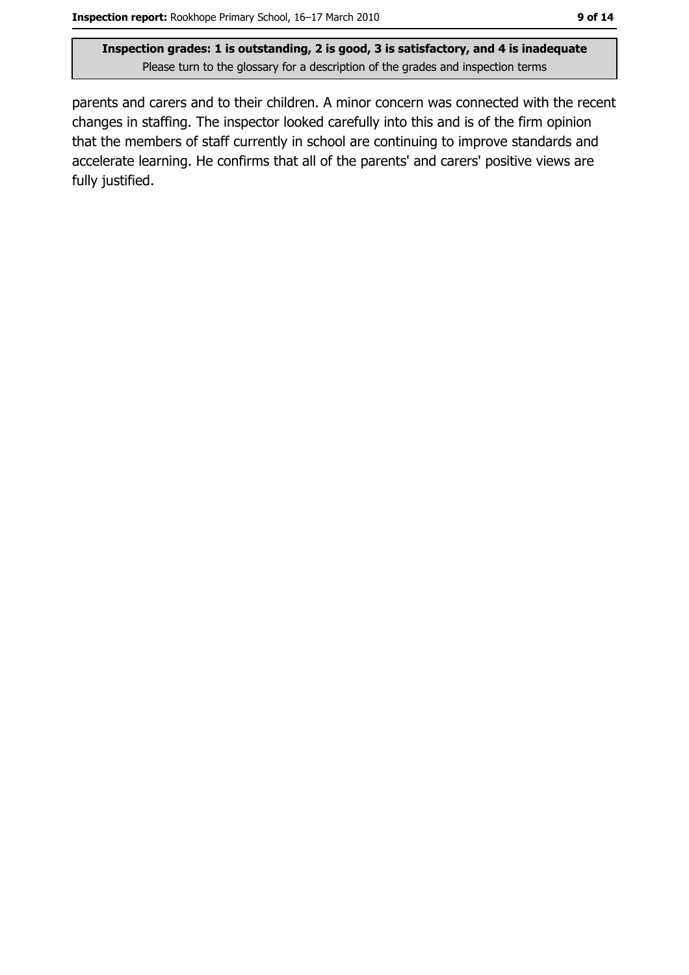Inspection grades: 1 is outstanding, 2 is good, 3 is satisfactory, and 4 is inadequate Please turn to the glossary for a description of the grades and inspection terms

parents and carers and to their children. A minor concern was connected with the recent changes in staffing. The inspector looked carefully into this and is of the firm opinion that the members of staff currently in school are continuing to improve standards and accelerate learning. He confirms that all of the parents' and carers' positive views are fully justified.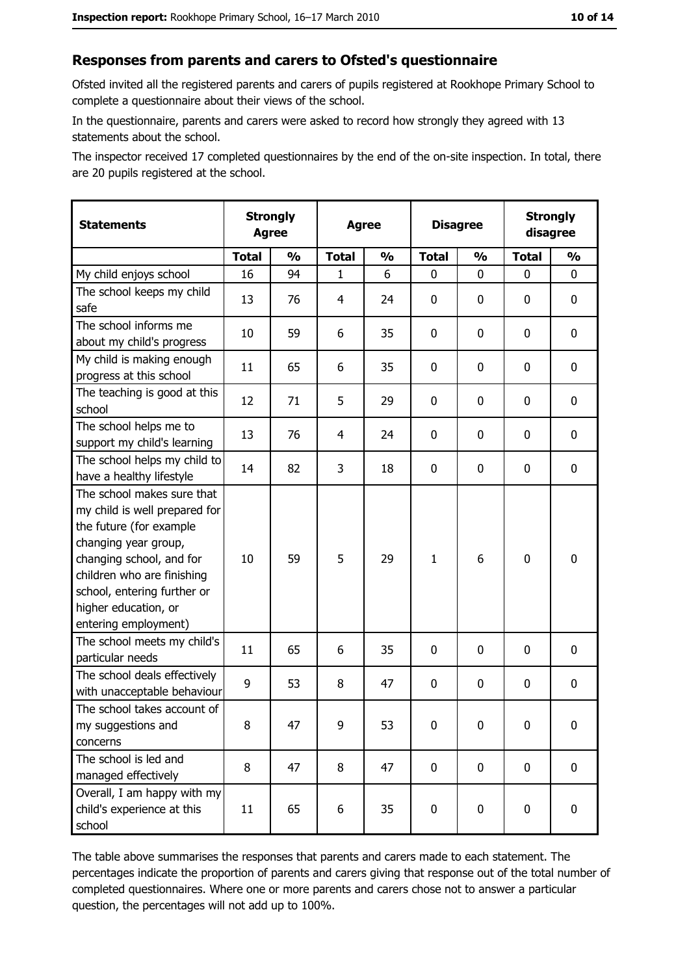#### Responses from parents and carers to Ofsted's questionnaire

Ofsted invited all the registered parents and carers of pupils registered at Rookhope Primary School to complete a questionnaire about their views of the school.

In the questionnaire, parents and carers were asked to record how strongly they agreed with 13 statements about the school.

The inspector received 17 completed questionnaires by the end of the on-site inspection. In total, there are 20 pupils registered at the school.

| <b>Statements</b>                                                                                                                                                                                                                                       | <b>Strongly</b><br><b>Agree</b> |               | <b>Agree</b>   |               | <b>Disagree</b> |               | <b>Strongly</b><br>disagree |               |
|---------------------------------------------------------------------------------------------------------------------------------------------------------------------------------------------------------------------------------------------------------|---------------------------------|---------------|----------------|---------------|-----------------|---------------|-----------------------------|---------------|
|                                                                                                                                                                                                                                                         | <b>Total</b>                    | $\frac{0}{0}$ | <b>Total</b>   | $\frac{0}{0}$ | <b>Total</b>    | $\frac{0}{0}$ | <b>Total</b>                | $\frac{1}{2}$ |
| My child enjoys school                                                                                                                                                                                                                                  | 16                              | 94            | $\mathbf{1}$   | 6             | $\mathbf 0$     | 0             | $\mathbf{0}$                | 0             |
| The school keeps my child<br>safe                                                                                                                                                                                                                       | 13                              | 76            | 4              | 24            | $\mathbf 0$     | 0             | 0                           | $\mathbf 0$   |
| The school informs me<br>about my child's progress                                                                                                                                                                                                      | 10                              | 59            | 6              | 35            | $\mathbf 0$     | 0             | 0                           | 0             |
| My child is making enough<br>progress at this school                                                                                                                                                                                                    | 11                              | 65            | 6              | 35            | $\mathbf 0$     | 0             | $\mathbf 0$                 | 0             |
| The teaching is good at this<br>school                                                                                                                                                                                                                  | 12                              | 71            | 5              | 29            | 0               | 0             | $\Omega$                    | 0             |
| The school helps me to<br>support my child's learning                                                                                                                                                                                                   | 13                              | 76            | $\overline{4}$ | 24            | $\mathbf 0$     | 0             | 0                           | $\mathbf 0$   |
| The school helps my child to<br>have a healthy lifestyle                                                                                                                                                                                                | 14                              | 82            | 3              | 18            | $\mathbf 0$     | 0             | 0                           | $\mathbf 0$   |
| The school makes sure that<br>my child is well prepared for<br>the future (for example<br>changing year group,<br>changing school, and for<br>children who are finishing<br>school, entering further or<br>higher education, or<br>entering employment) | 10                              | 59            | 5              | 29            | $\mathbf{1}$    | 6             | $\mathbf 0$                 | $\mathbf 0$   |
| The school meets my child's<br>particular needs                                                                                                                                                                                                         | 11                              | 65            | 6              | 35            | $\mathbf 0$     | 0             | $\Omega$                    | $\mathbf 0$   |
| The school deals effectively<br>with unacceptable behaviour                                                                                                                                                                                             | 9                               | 53            | 8              | 47            | $\mathbf 0$     | $\mathbf 0$   | 0                           | $\mathbf 0$   |
| The school takes account of<br>my suggestions and<br>concerns                                                                                                                                                                                           | 8                               | 47            | 9              | 53            | $\mathbf 0$     | 0             | 0                           | 0             |
| The school is led and<br>managed effectively                                                                                                                                                                                                            | 8                               | 47            | 8              | 47            | $\mathbf 0$     | 0             | $\mathbf 0$                 | $\mathbf 0$   |
| Overall, I am happy with my<br>child's experience at this<br>school                                                                                                                                                                                     | 11                              | 65            | 6              | 35            | $\mathbf 0$     | 0             | $\mathbf 0$                 | 0             |

The table above summarises the responses that parents and carers made to each statement. The percentages indicate the proportion of parents and carers giving that response out of the total number of completed questionnaires. Where one or more parents and carers chose not to answer a particular question, the percentages will not add up to 100%.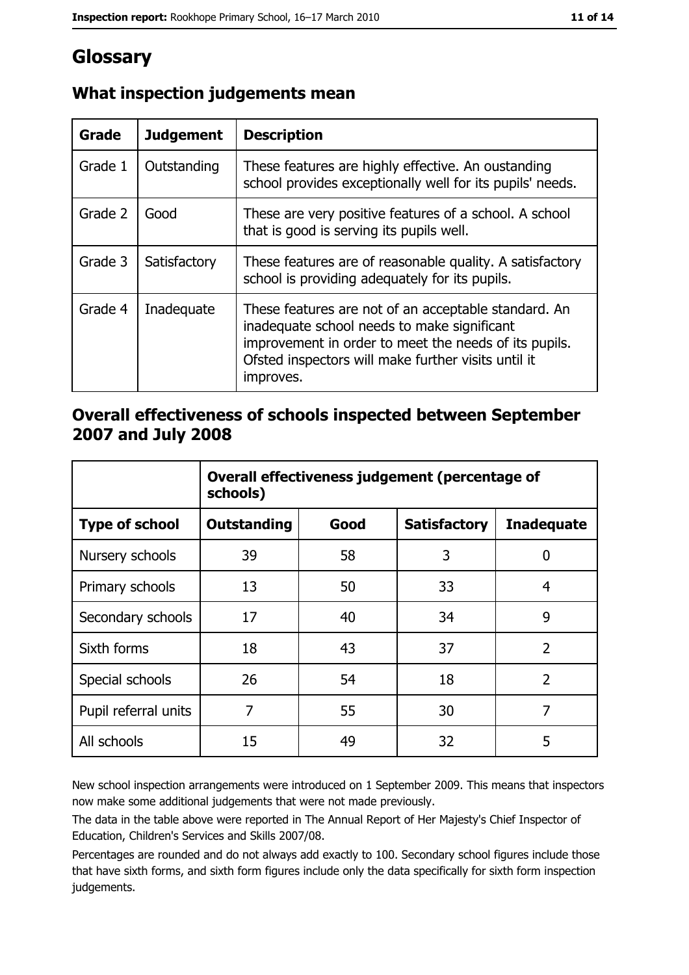## Glossary

| Grade   | <b>Judgement</b> | <b>Description</b>                                                                                                                                                                                                               |
|---------|------------------|----------------------------------------------------------------------------------------------------------------------------------------------------------------------------------------------------------------------------------|
| Grade 1 | Outstanding      | These features are highly effective. An oustanding<br>school provides exceptionally well for its pupils' needs.                                                                                                                  |
| Grade 2 | Good             | These are very positive features of a school. A school<br>that is good is serving its pupils well.                                                                                                                               |
| Grade 3 | Satisfactory     | These features are of reasonable quality. A satisfactory<br>school is providing adequately for its pupils.                                                                                                                       |
| Grade 4 | Inadequate       | These features are not of an acceptable standard. An<br>inadequate school needs to make significant<br>improvement in order to meet the needs of its pupils.<br>Ofsted inspectors will make further visits until it<br>improves. |

#### What inspection judgements mean

#### Overall effectiveness of schools inspected between September 2007 and July 2008

|                       | Overall effectiveness judgement (percentage of<br>schools) |      |                     |                   |
|-----------------------|------------------------------------------------------------|------|---------------------|-------------------|
| <b>Type of school</b> | <b>Outstanding</b>                                         | Good | <b>Satisfactory</b> | <b>Inadequate</b> |
| Nursery schools       | 39                                                         | 58   | 3                   | 0                 |
| Primary schools       | 13                                                         | 50   | 33                  | 4                 |
| Secondary schools     | 17                                                         | 40   | 34                  | 9                 |
| Sixth forms           | 18                                                         | 43   | 37                  | $\overline{2}$    |
| Special schools       | 26                                                         | 54   | 18                  | $\overline{2}$    |
| Pupil referral units  | 7                                                          | 55   | 30                  | 7                 |
| All schools           | 15                                                         | 49   | 32                  | 5                 |

New school inspection arrangements were introduced on 1 September 2009. This means that inspectors now make some additional judgements that were not made previously.

The data in the table above were reported in The Annual Report of Her Majesty's Chief Inspector of Education, Children's Services and Skills 2007/08.

Percentages are rounded and do not always add exactly to 100. Secondary school figures include those that have sixth forms, and sixth form figures include only the data specifically for sixth form inspection judgements.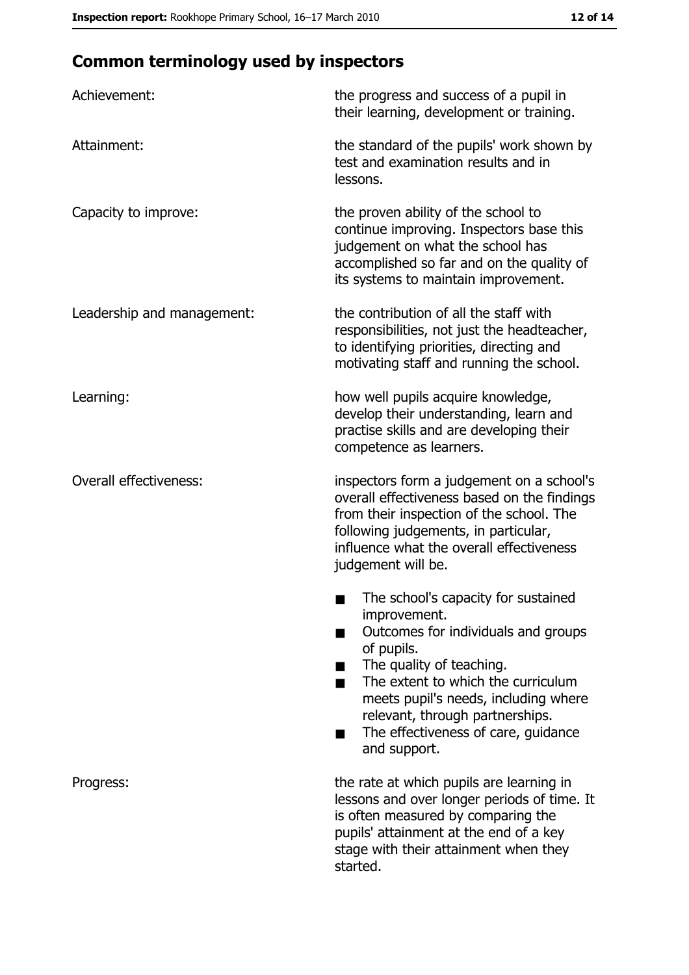# **Common terminology used by inspectors**

| Achievement:                  | the progress and success of a pupil in<br>their learning, development or training.                                                                                                                                                                                                                           |
|-------------------------------|--------------------------------------------------------------------------------------------------------------------------------------------------------------------------------------------------------------------------------------------------------------------------------------------------------------|
| Attainment:                   | the standard of the pupils' work shown by<br>test and examination results and in<br>lessons.                                                                                                                                                                                                                 |
| Capacity to improve:          | the proven ability of the school to<br>continue improving. Inspectors base this<br>judgement on what the school has<br>accomplished so far and on the quality of<br>its systems to maintain improvement.                                                                                                     |
| Leadership and management:    | the contribution of all the staff with<br>responsibilities, not just the headteacher,<br>to identifying priorities, directing and<br>motivating staff and running the school.                                                                                                                                |
| Learning:                     | how well pupils acquire knowledge,<br>develop their understanding, learn and<br>practise skills and are developing their<br>competence as learners.                                                                                                                                                          |
| <b>Overall effectiveness:</b> | inspectors form a judgement on a school's<br>overall effectiveness based on the findings<br>from their inspection of the school. The<br>following judgements, in particular,<br>influence what the overall effectiveness<br>judgement will be.                                                               |
|                               | The school's capacity for sustained<br>improvement.<br>Outcomes for individuals and groups<br>of pupils.<br>The quality of teaching.<br>The extent to which the curriculum<br>meets pupil's needs, including where<br>relevant, through partnerships.<br>The effectiveness of care, guidance<br>and support. |
| Progress:                     | the rate at which pupils are learning in<br>lessons and over longer periods of time. It<br>is often measured by comparing the<br>pupils' attainment at the end of a key<br>stage with their attainment when they<br>started.                                                                                 |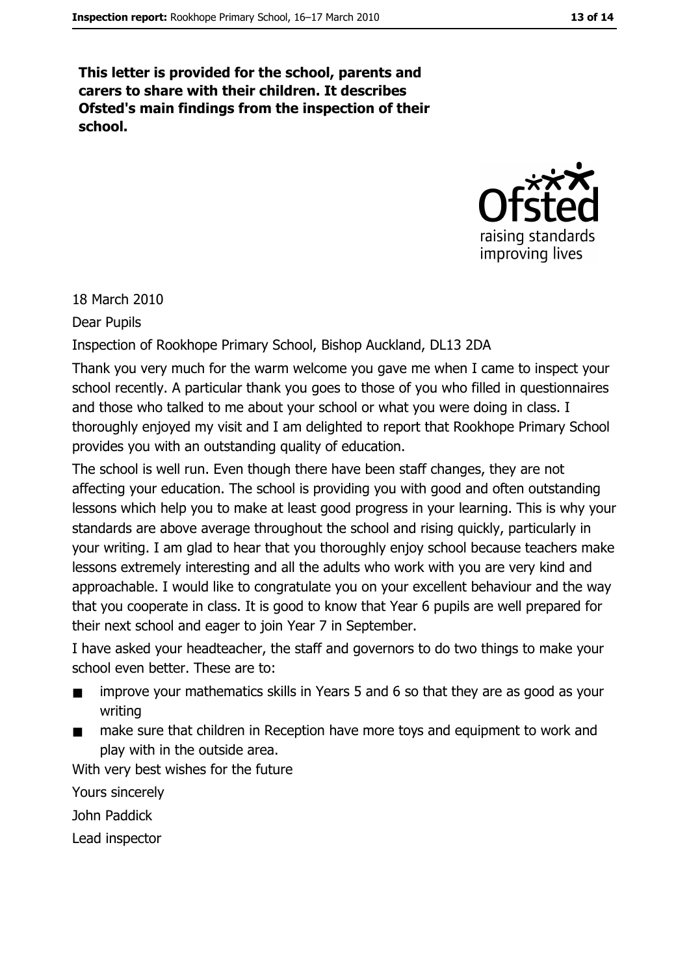This letter is provided for the school, parents and carers to share with their children. It describes Ofsted's main findings from the inspection of their school.



18 March 2010

**Dear Pupils** 

Inspection of Rookhope Primary School, Bishop Auckland, DL13 2DA

Thank you very much for the warm welcome you gave me when I came to inspect your school recently. A particular thank you goes to those of you who filled in questionnaires and those who talked to me about your school or what you were doing in class. I thoroughly enjoyed my visit and I am delighted to report that Rookhope Primary School provides you with an outstanding quality of education.

The school is well run. Even though there have been staff changes, they are not affecting your education. The school is providing you with good and often outstanding lessons which help you to make at least good progress in your learning. This is why your standards are above average throughout the school and rising quickly, particularly in your writing. I am glad to hear that you thoroughly enjoy school because teachers make lessons extremely interesting and all the adults who work with you are very kind and approachable. I would like to congratulate you on your excellent behaviour and the way that you cooperate in class. It is good to know that Year 6 pupils are well prepared for their next school and eager to join Year 7 in September.

I have asked your headteacher, the staff and governors to do two things to make your school even better. These are to:

- improve your mathematics skills in Years 5 and 6 so that they are as good as your writing
- make sure that children in Reception have more toys and equipment to work and  $\blacksquare$ play with in the outside area.

With very best wishes for the future

Yours sincerely

John Paddick

Lead inspector